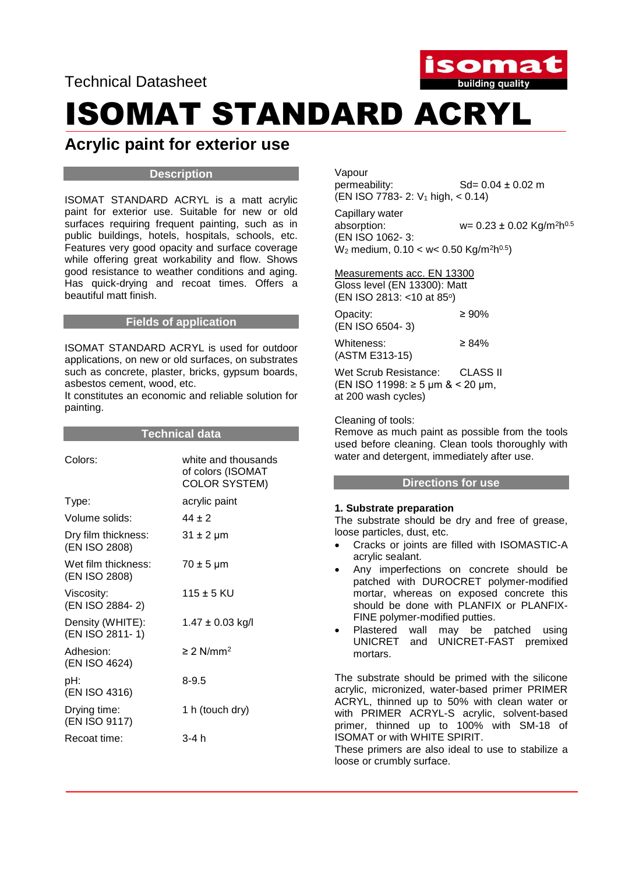Technical Datasheet



# ISOMAT STANDARD ACRYL

### **Acrylic paint for exterior use**

#### **Description**

ISOMAT STANDARD ACRYL is a matt acrylic paint for exterior use. Suitable for new or old surfaces requiring frequent painting, such as in public buildings, hotels, hospitals, schools, etc. Features very good opacity and surface coverage while offering great workability and flow. Shows good resistance to weather conditions and aging. Has quick-drying and recoat times. Offers a beautiful matt finish.

#### **Fields of application**

ISOMAT STANDARD ACRYL is used for outdoor applications, on new or old surfaces, on substrates such as concrete, plaster, bricks, gypsum boards, asbestos cement, wood, etc.

Ιt constitutes an economic and reliable solution for painting.

#### **Technical data**

| Colors:                              | white and thousands<br>of colors (ISOMAT<br><b>COLOR SYSTEM)</b> |
|--------------------------------------|------------------------------------------------------------------|
| Type:                                | acrylic paint                                                    |
| Volume solids:                       | $44 + 2$                                                         |
| Dry film thickness:<br>(EN ISO 2808) | $31 \pm 2 \mu m$                                                 |
| Wet film thickness:<br>(EN ISO 2808) | $70 \pm 5$ µm                                                    |
| Viscosity:<br>(EN ISO 2884-2)        | $115 \pm 5$ KU                                                   |
| Density (WHITE):<br>(EN ISO 2811-1)  | 1.47 ± 0.03 kg/l                                                 |
| Adhesion:<br>(EN ISO 4624)           | $\geq$ 2 N/mm <sup>2</sup>                                       |
| pH:<br>(EN ISO 4316)                 | 8-9.5                                                            |
| Drying time:<br>(EN ISO 9117)        | 1 h (touch dry)                                                  |
| Recoat time:                         | 3-4 h                                                            |
|                                      |                                                                  |

Vapour<br>permeability:  $Sd = 0.04 \pm 0.02$  m  $(EN ISO 7783 - 2: V<sub>1</sub> high, < 0.14)$ 

Capillary water absorption:  $w = 0.23 \pm 0.02$  Kg/m<sup>2</sup>h<sup>0.5</sup> (EN ISO 1062- 3:  $W_2$  medium, 0.10 < w< 0.50 Kg/m<sup>2</sup>h<sup>0.5</sup>)

Measurements acc. EN 13300 Gloss level (EN 13300): Matt (EN ISO 2813: <10 at 85°)

Opacity: ≥ 90% (EN ISO 6504- 3)

Whiteness:  $\geq 84\%$ (ASTM E313-15)

Wet Scrub Resistance: CLASS II (EN ISO 11998: ≥ 5 μm & < 20 μm, at 200 wash cycles)

Cleaning of tools:

Remove as much paint as possible from the tools used before cleaning. Clean tools thoroughly with water and detergent, immediately after use.

#### **Directions for use**

#### **1. Substrate preparation**

The substrate should be dry and free of grease, loose particles, dust, etc.

- Cracks or joints are filled with ISOMASTIC-A acrylic sealant.
- Any imperfections on concrete should be patched with DUROCRET polymer-modified mortar, whereas on exposed concrete this should be done with PLANFIX or PLANFIX-FINE polymer-modified putties.
- Plastered wall may be patched using UNICRET and UNICRET-FAST premixed mortars.

The substrate should be primed with the silicone acrylic, micronized, water-based primer PRIMER ACRYL, thinned up to 50% with clean water or with PRIMER ACRYL-S acrylic, solvent-based primer, thinned up to 100% with SM-18 of ISOMAT or with WHITE SPIRIT.

These primers are also ideal to use to stabilize a loose or crumbly surface.